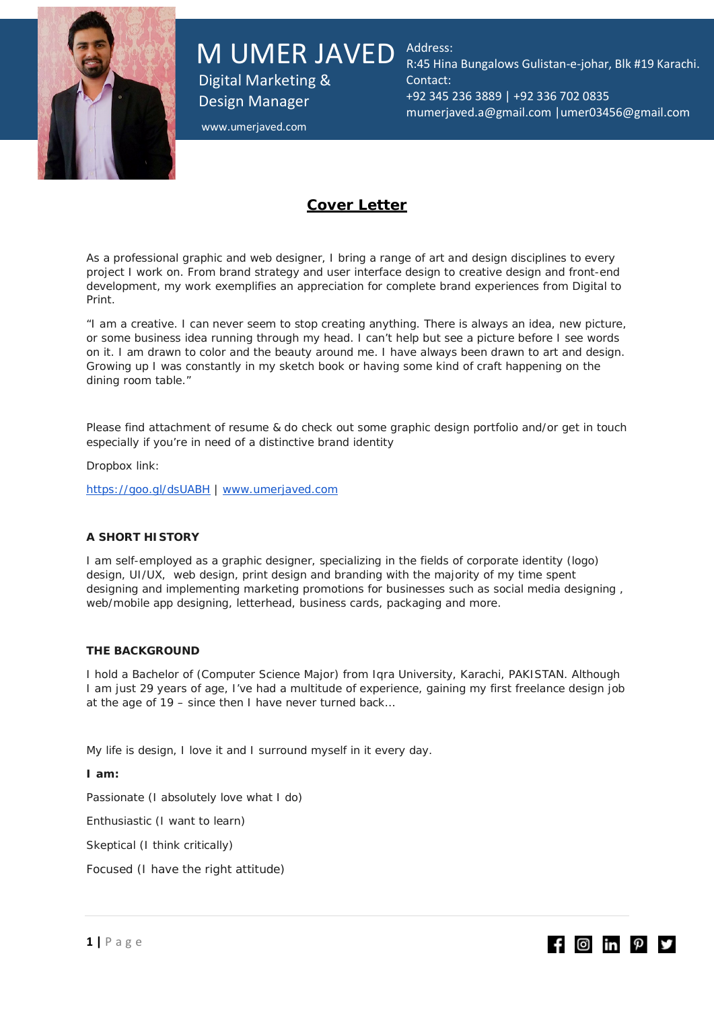

M UMER JAVED Address:

Digital Marketing & Design Manager

R:45 Hina Bungalows Gulistan-e-johar, Blk #19 Karachi. Contact: +92 345 236 3889 | +92 336 702 0835 [mumerjaved.a@gmail.com](mailto:mumerjaved.a@gmail.com) |umer03456@gmail.com

www.umerjaved.com

## **Cover Letter**

As a professional graphic and web designer, I bring a range of art and design disciplines to every project I work on. From brand strategy and user interface design to creative design and front-end development, my work exemplifies an appreciation for complete brand experiences from Digital to Print.

"I am a creative. I can never seem to stop creating anything. There is always an idea, new picture, or some business idea running through my head. I can't help but see a picture before I see words on it. I am drawn to color and the beauty around me. I have always been drawn to art and design. Growing up I was constantly in my sketch book or having some kind of craft happening on the dining room table."

Please find attachment of resume & do check out some graphic design portfolio and/or get in touch especially if you're in need of a distinctive brand identity

Dropbox link:

<https://goo.gl/dsUABH> | [www.umerjaved.com](http://www.umerjaved.com/)

#### **A SHORT HISTORY**

I am self-employed as a graphic designer, specializing in the fields of corporate identity (logo) design, UI/UX, web design, print design and branding with the majority of my time spent designing and implementing marketing promotions for businesses such as social media designing , web/mobile app designing, letterhead, business cards, packaging and more.

#### **THE BACKGROUND**

I hold a Bachelor of (Computer Science Major) from Iqra University, Karachi, PAKISTAN. Although I am just 29 years of age, I've had a multitude of experience, gaining my first freelance design job at the age of 19 – since then I have never turned back…

My life is design, I love it and I surround myself in it every day.

**I am:**

Passionate (I absolutely love what I do)

Enthusiastic (I want to learn)

Skeptical (I think critically)

Focused (I have the right attitude)

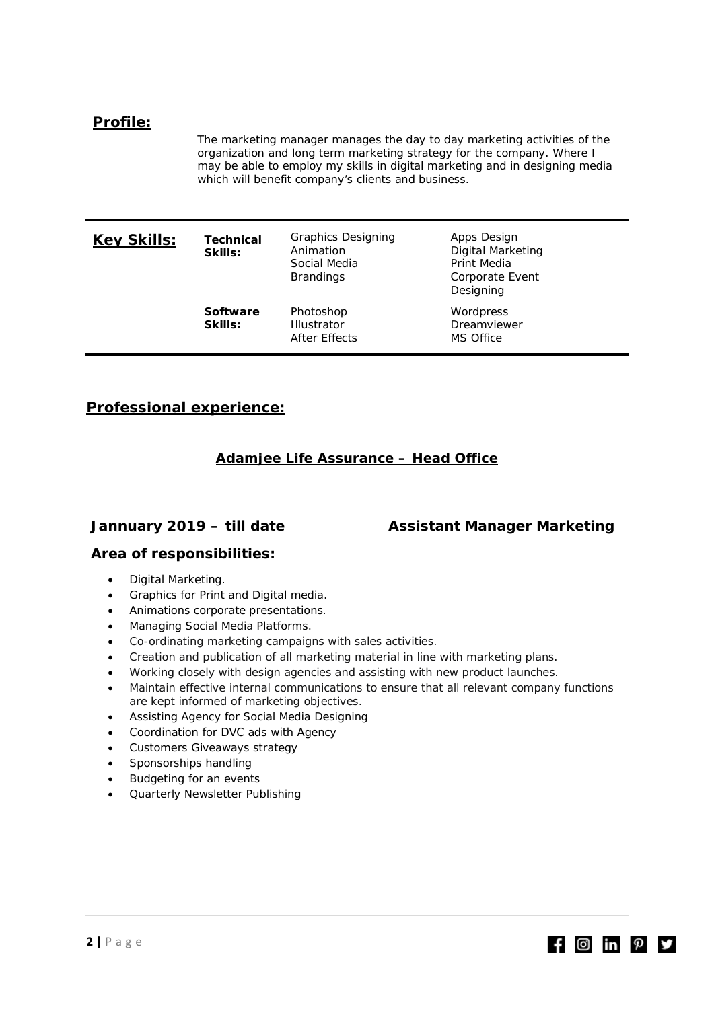## **Profile:**

The marketing manager manages the day to day marketing activities of the organization and long term marketing strategy for the company. Where I may be able to employ my skills in digital marketing and in designing media which will benefit company's clients and business.

| <u>Key Skills:</u> | Technical<br>Skills:       | <b>Graphics Designing</b><br>Animation<br>Social Media<br><b>Brandings</b> | Apps Design<br><b>Digital Marketing</b><br>Print Media<br>Corporate Event<br>Designing |
|--------------------|----------------------------|----------------------------------------------------------------------------|----------------------------------------------------------------------------------------|
|                    | <b>Software</b><br>Skills: | Photoshop<br><b>Illustrator</b><br>After Effects                           | Wordpress<br>Dreamviewer<br>MS Office                                                  |

## **Professional experience:**

## **Adamjee Life Assurance – Head Office**

**Jannuary 2019 – till date Assistant Manager Marketing**

 $f$   $\Theta$  in  $p$   $\theta$ 

## **Area of responsibilities:**

- Digital Marketing.
- Graphics for Print and Digital media.
- Animations corporate presentations.
- Managing Social Media Platforms.
- Co-ordinating marketing campaigns with sales activities.
- Creation and publication of all marketing material in line with marketing plans.
- Working closely with design agencies and assisting with new product launches.
- Maintain effective internal communications to ensure that all relevant company functions are kept informed of marketing objectives.
- Assisting Agency for Social Media Designing
- Coordination for DVC ads with Agency
- Customers Giveaways strategy
- Sponsorships handling
- Budgeting for an events
- Quarterly Newsletter Publishing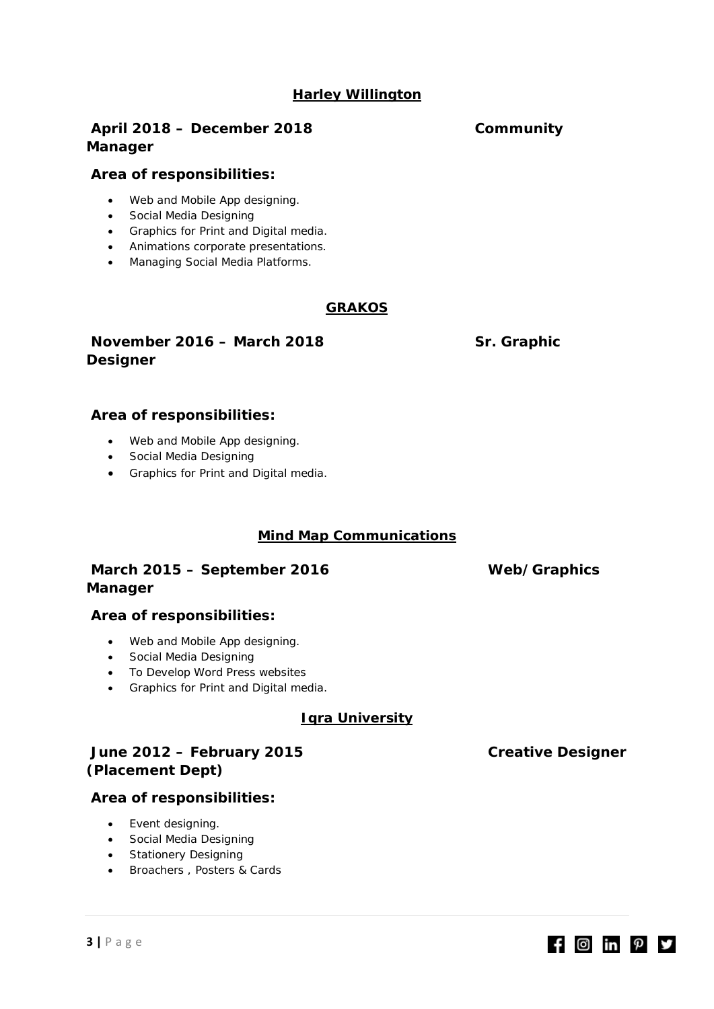## **Harley Willington**

## **April 2018 – December 2018 Community Manager**

## **Area of responsibilities:**

- Web and Mobile App designing.
- Social Media Designing
- Graphics for Print and Digital media.
- Animations corporate presentations.
- Managing Social Media Platforms.

## **GRAKOS**

## **November 2016 – March 2018 Sr. Graphic Designer**

## **Area of responsibilities:**

- Web and Mobile App designing.
- Social Media Designing
- Graphics for Print and Digital media.

## **Mind Map Communications**

## **March 2015 – September 2016 Web/Graphics Manager**

## **Area of responsibilities:**

- Web and Mobile App designing.
- Social Media Designing
- To Develop Word Press websites
- Graphics for Print and Digital media.

## **Iqra University**

## **June 2012 – February 2015 Creative Designer (Placement Dept)**

## **Area of responsibilities:**

- Event designing.
- Social Media Designing
- Stationery Designing
- Broachers , Posters & Cards

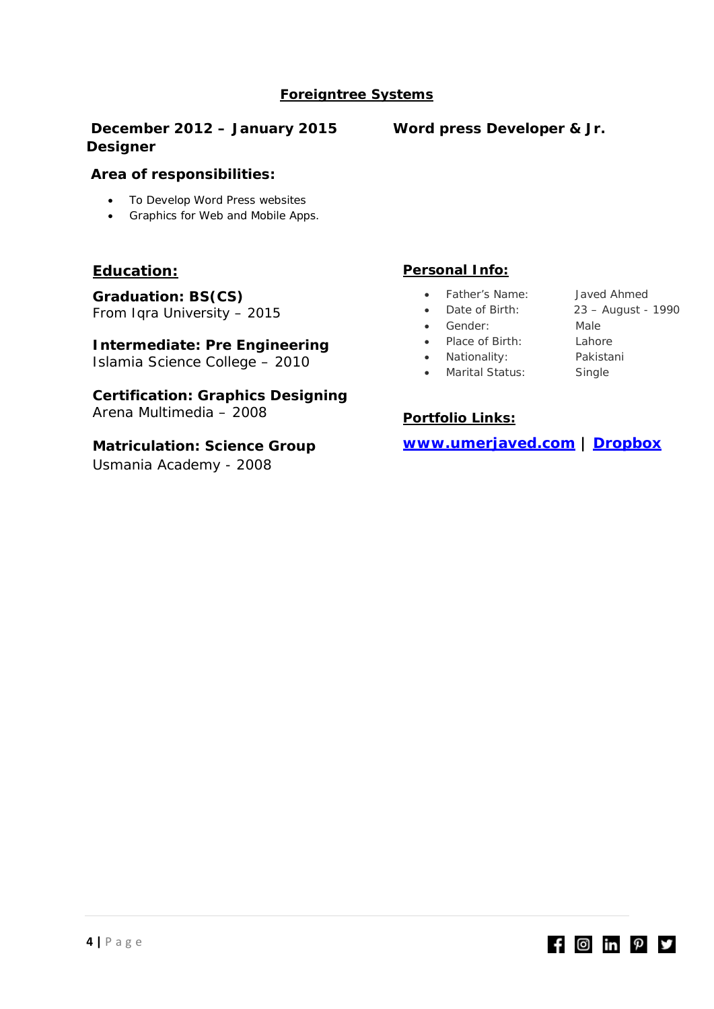# **Foreigntree Systems**

## **December 2012 – January 2015 Word press Developer & Jr. Designer**

## **Area of responsibilities:**

- To Develop Word Press websites
- Graphics for Web and Mobile Apps.

## **Education:**

**Graduation: BS(CS)** From Iqra University – 2015

## **Intermediate: Pre Engineering**

Islamia Science College – 2010

**Certification: Graphics Designing** Arena Multimedia – 2008

## **Matriculation: Science Group**

Usmania Academy - 2008

## **Personal Info:**

- Father's Name: Javed Ahmed
- Date of Birth: 23 August 1990
- Gender: Male
- Place of Birth: Lahore
- Nationality: Pakistani
- Marital Status: Single

## **Portfolio Links:**

**www.umerjaved.com | [Dropbox](https://www.dropbox.com/sh/am9malhrkw9nbtw/AAB6u1cOwxNTE6w8e6v89xYqa?dl=0)**

- 
- 
- 
- 
- 

 $f$   $\Theta$  in  $p$   $\theta$